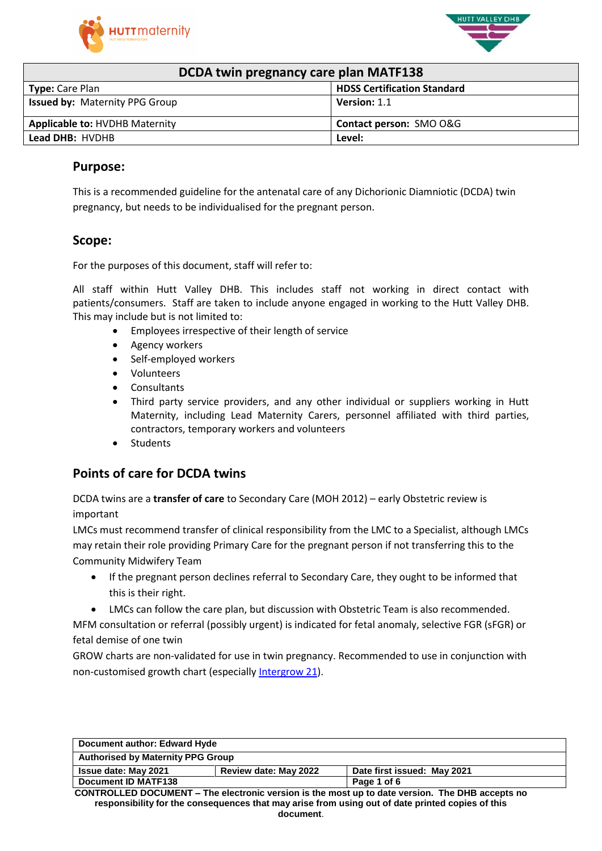



### **DCDA twin pregnancy care plan MATF138**

| <b>PUPA WILL PLUSHANGY CALL PRAIL IVITILE 200</b> |                                    |  |  |
|---------------------------------------------------|------------------------------------|--|--|
| <b>Type:</b> Care Plan                            | <b>HDSS Certification Standard</b> |  |  |
| <b>Issued by: Maternity PPG Group</b>             | <b>Version: 1.1</b>                |  |  |
| <b>Applicable to: HVDHB Maternity</b>             | <b>Contact person: SMO O&amp;G</b> |  |  |
| Lead DHB: HVDHB                                   | Level:                             |  |  |

### **Purpose:**

This is a recommended guideline for the antenatal care of any Dichorionic Diamniotic (DCDA) twin pregnancy, but needs to be individualised for the pregnant person.

### **Scope:**

For the purposes of this document, staff will refer to:

All staff within Hutt Valley DHB. This includes staff not working in direct contact with patients/consumers. Staff are taken to include anyone engaged in working to the Hutt Valley DHB. This may include but is not limited to:

- Employees irrespective of their length of service
- Agency workers
- Self-employed workers
- Volunteers
- Consultants
- Third party service providers, and any other individual or suppliers working in Hutt Maternity, including Lead Maternity Carers, personnel affiliated with third parties, contractors, temporary workers and volunteers
- Students

## **Points of care for DCDA twins**

DCDA twins are a **transfer of care** to Secondary Care (MOH 2012) – early Obstetric review is important

LMCs must recommend transfer of clinical responsibility from the LMC to a Specialist, although LMCs may retain their role providing Primary Care for the pregnant person if not transferring this to the Community Midwifery Team

- If the pregnant person declines referral to Secondary Care, they ought to be informed that this is their right.
- LMCs can follow the care plan, but discussion with Obstetric Team is also recommended.

MFM consultation or referral (possibly urgent) is indicated for fetal anomaly, selective FGR (sFGR) or fetal demise of one twin

GROW charts are non-validated for use in twin pregnancy. Recommended to use in conjunction with non-customised growth chart (especially [Intergrow 21\)](https://srhr.org/fetalgrowthcalculator/).

| Document author: Edward Hyde                                                                    |  |  |
|-------------------------------------------------------------------------------------------------|--|--|
| <b>Authorised by Maternity PPG Group</b>                                                        |  |  |
| Review date: May 2022<br>Date first issued: May 2021<br><b>Issue date: May 2021</b>             |  |  |
| Document ID MATF138<br>Page 1 of 6                                                              |  |  |
| CONTROLLED DOCUMENT – The electronic version is the most up to date version. The DHR accents no |  |  |

**CONTROLLED DOCUMENT – The electronic version is the most up to date version. The DHB accepts no responsibility for the consequences that may arise from using out of date printed copies of this document**.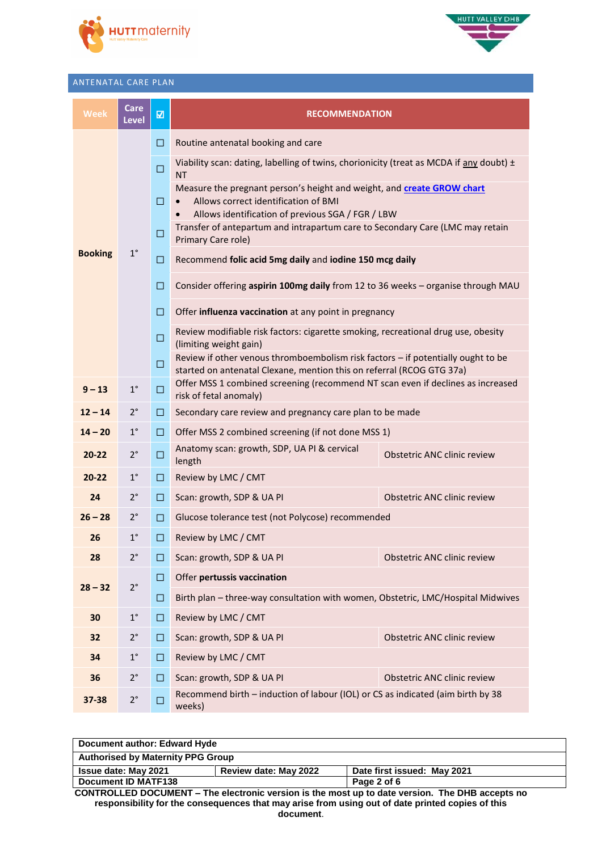



#### ANTENATAL CARE PLAN

| <b>Week</b>    | <b>Care</b><br><b>Level</b> | $\overline{\mathbf{z}}$ | <b>RECOMMENDATION</b>                                                                                                                                               |                             |  |
|----------------|-----------------------------|-------------------------|---------------------------------------------------------------------------------------------------------------------------------------------------------------------|-----------------------------|--|
|                |                             | □                       | Routine antenatal booking and care                                                                                                                                  |                             |  |
|                |                             | $\Box$                  | Viability scan: dating, labelling of twins, chorionicity (treat as MCDA if any doubt) $\pm$<br><b>NT</b>                                                            |                             |  |
|                |                             |                         | Measure the pregnant person's height and weight, and create GROW chart<br>Allows correct identification of BMI<br>Allows identification of previous SGA / FGR / LBW |                             |  |
|                |                             | □                       | Transfer of antepartum and intrapartum care to Secondary Care (LMC may retain<br>Primary Care role)                                                                 |                             |  |
| <b>Booking</b> | $1^{\circ}$                 | □                       | Recommend folic acid 5mg daily and iodine 150 mcg daily                                                                                                             |                             |  |
|                |                             | □                       | Consider offering aspirin 100mg daily from 12 to 36 weeks - organise through MAU                                                                                    |                             |  |
|                |                             | $\Box$                  | Offer influenza vaccination at any point in pregnancy                                                                                                               |                             |  |
|                |                             | □                       | Review modifiable risk factors: cigarette smoking, recreational drug use, obesity<br>(limiting weight gain)                                                         |                             |  |
|                |                             | $\Box$                  | Review if other venous thromboembolism risk factors - if potentially ought to be<br>started on antenatal Clexane, mention this on referral (RCOG GTG 37a)           |                             |  |
| $9 - 13$       | $1^{\circ}$                 | $\Box$                  | Offer MSS 1 combined screening (recommend NT scan even if declines as increased<br>risk of fetal anomaly)                                                           |                             |  |
| $12 - 14$      | $2^{\circ}$                 | □                       | Secondary care review and pregnancy care plan to be made                                                                                                            |                             |  |
| $14 - 20$      | $1^{\circ}$                 | $\Box$                  | Offer MSS 2 combined screening (if not done MSS 1)                                                                                                                  |                             |  |
| $20 - 22$      | $2^{\circ}$                 | $\Box$                  | Anatomy scan: growth, SDP, UA PI & cervical<br>length                                                                                                               | Obstetric ANC clinic review |  |
| $20 - 22$      | $1^{\circ}$                 | □                       | Review by LMC / CMT                                                                                                                                                 |                             |  |
| 24             | $2^{\circ}$                 | □                       | Scan: growth, SDP & UA PI                                                                                                                                           | Obstetric ANC clinic review |  |
| $26 - 28$      | $2^{\circ}$                 | $\Box$                  | Glucose tolerance test (not Polycose) recommended                                                                                                                   |                             |  |
| 26             | $1^{\circ}$                 | □                       | Review by LMC / CMT                                                                                                                                                 |                             |  |
| 28             | $2^{\circ}$                 | ⊔                       | Scan: growth, SDP & UA PI                                                                                                                                           | Obstetric ANC clinic review |  |
|                |                             | □                       | Offer pertussis vaccination                                                                                                                                         |                             |  |
| $28 - 32$      | $2^{\circ}$                 | ப                       | Birth plan - three-way consultation with women, Obstetric, LMC/Hospital Midwives                                                                                    |                             |  |
| 30             | $1^{\circ}$                 | $\Box$                  | Review by LMC / CMT                                                                                                                                                 |                             |  |
| 32             | $2^{\circ}$                 | □                       | Scan: growth, SDP & UA PI                                                                                                                                           | Obstetric ANC clinic review |  |
| 34             | $1^{\circ}$                 | □                       | Review by LMC / CMT                                                                                                                                                 |                             |  |
| 36             | $2^{\circ}$                 | $\Box$                  | Scan: growth, SDP & UA PI                                                                                                                                           | Obstetric ANC clinic review |  |
| $37 - 38$      | $2^{\circ}$                 | □                       | Recommend birth - induction of labour (IOL) or CS as indicated (aim birth by 38<br>weeks)                                                                           |                             |  |

| Document author: Edward Hyde                                                                           |                                                      |  |  |
|--------------------------------------------------------------------------------------------------------|------------------------------------------------------|--|--|
| <b>Authorised by Maternity PPG Group</b>                                                               |                                                      |  |  |
| <b>Issue date: May 2021</b>                                                                            | Review date: May 2022<br>Date first issued: May 2021 |  |  |
| <b>Document ID MATF138</b><br>Page 2 of 6                                                              |                                                      |  |  |
| <b>CONTROLLED DOCUMENT – The electronic version is the most up to date version. The DHB accepts no</b> |                                                      |  |  |
| responsibility for the consequences that may arise from using out of date printed copies of this       |                                                      |  |  |
| document.                                                                                              |                                                      |  |  |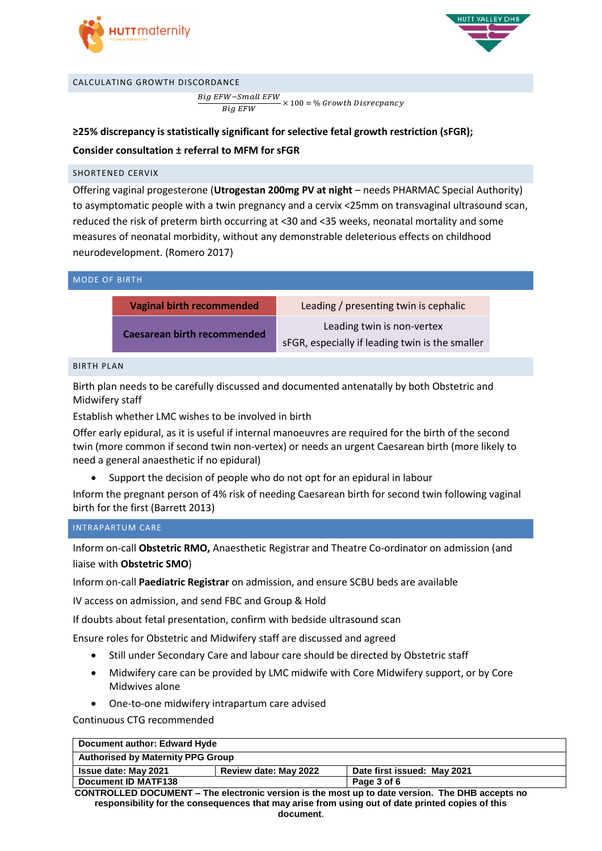



#### CALCULATING GROWTH DISCORDANCE

Big EFW-Small EFW **Big EFW**  $\times$  100 = % Growth Disrecpancy

**≥25% discrepancy is statistically significant for selective fetal growth restriction (sFGR); Consider consultation ± referral to MFM for sFGR**

### SHORTENED CERVIX

Offering vaginal progesterone (**Utrogestan 200mg PV at night** – needs PHARMAC Special Authority) to asymptomatic people with a twin pregnancy and a cervix <25mm on transvaginal ultrasound scan, reduced the risk of preterm birth occurring at <30 and <35 weeks, neonatal mortality and some measures of neonatal morbidity, without any demonstrable deleterious effects on childhood neurodevelopment. (Romero 2017)

| <b>MODE OF BIRTH</b> |                                    |                                                                               |
|----------------------|------------------------------------|-------------------------------------------------------------------------------|
|                      | <b>Vaginal birth recommended</b>   | Leading / presenting twin is cephalic                                         |
|                      | <b>Caesarean birth recommended</b> | Leading twin is non-vertex<br>sFGR, especially if leading twin is the smaller |

BIRTH PLAN

Birth plan needs to be carefully discussed and documented antenatally by both Obstetric and Midwifery staff

Establish whether LMC wishes to be involved in birth

Offer early epidural, as it is useful if internal manoeuvres are required for the birth of the second twin (more common if second twin non-vertex) or needs an urgent Caesarean birth (more likely to need a general anaesthetic if no epidural)

Support the decision of people who do not opt for an epidural in labour

Inform the pregnant person of 4% risk of needing Caesarean birth for second twin following vaginal birth for the first (Barrett 2013)

### INTRAPARTUM CARE

Inform on-call **Obstetric RMO,** Anaesthetic Registrar and Theatre Co-ordinator on admission (and liaise with **Obstetric SMO**)

Inform on-call **Paediatric Registrar** on admission, and ensure SCBU beds are available

IV access on admission, and send FBC and Group & Hold

If doubts about fetal presentation, confirm with bedside ultrasound scan

Ensure roles for Obstetric and Midwifery staff are discussed and agreed

- Still under Secondary Care and labour care should be directed by Obstetric staff
- Midwifery care can be provided by LMC midwife with Core Midwifery support, or by Core Midwives alone
- One-to-one midwifery intrapartum care advised

Continuous CTG recommended

### **Document author: Edward Hyde**

| <b>Authorised by Maternity PPG Group</b>                                            |  |             |
|-------------------------------------------------------------------------------------|--|-------------|
| Date first issued: May 2021<br><b>Issue date: May 2021</b><br>Review date: May 2022 |  |             |
| <b>Document ID MATF138</b>                                                          |  | Page 3 of 6 |

**CONTROLLED DOCUMENT – The electronic version is the most up to date version. The DHB accepts no responsibility for the consequences that may arise from using out of date printed copies of this document**.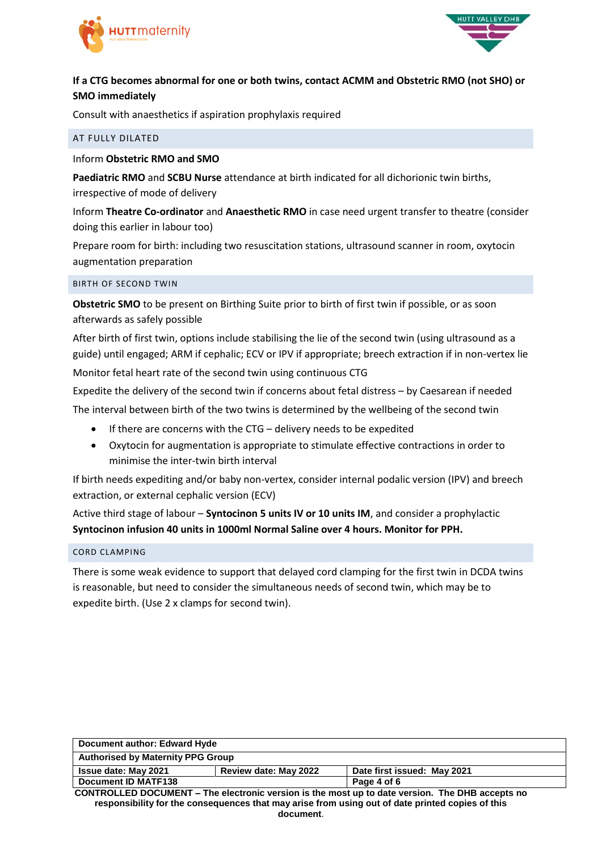



### **If a CTG becomes abnormal for one or both twins, contact ACMM and Obstetric RMO (not SHO) or SMO immediately**

Consult with anaesthetics if aspiration prophylaxis required

### AT FULLY DILATED

### Inform **Obstetric RMO and SMO**

**Paediatric RMO** and **SCBU Nurse** attendance at birth indicated for all dichorionic twin births, irrespective of mode of delivery

Inform **Theatre Co-ordinator** and **Anaesthetic RMO** in case need urgent transfer to theatre (consider doing this earlier in labour too)

Prepare room for birth: including two resuscitation stations, ultrasound scanner in room, oxytocin augmentation preparation

### BIRTH OF SECOND TWIN

**Obstetric SMO** to be present on Birthing Suite prior to birth of first twin if possible, or as soon afterwards as safely possible

After birth of first twin, options include stabilising the lie of the second twin (using ultrasound as a guide) until engaged; ARM if cephalic; ECV or IPV if appropriate; breech extraction if in non-vertex lie Monitor fetal heart rate of the second twin using continuous CTG

Expedite the delivery of the second twin if concerns about fetal distress – by Caesarean if needed The interval between birth of the two twins is determined by the wellbeing of the second twin

- If there are concerns with the CTG delivery needs to be expedited
- Oxytocin for augmentation is appropriate to stimulate effective contractions in order to minimise the inter-twin birth interval

If birth needs expediting and/or baby non-vertex, consider internal podalic version (IPV) and breech extraction, or external cephalic version (ECV)

Active third stage of labour – **Syntocinon 5 units IV or 10 units IM**, and consider a prophylactic **Syntocinon infusion 40 units in 1000ml Normal Saline over 4 hours. Monitor for PPH.**

### CORD CLAMPING

There is some weak evidence to support that delayed cord clamping for the first twin in DCDA twins is reasonable, but need to consider the simultaneous needs of second twin, which may be to expedite birth. (Use 2 x clamps for second twin).

| Document author: Edward Hyde                                                                           |  |  |
|--------------------------------------------------------------------------------------------------------|--|--|
| <b>Authorised by Maternity PPG Group</b>                                                               |  |  |
| Review date: May 2022<br>Date first issued: May 2021<br><b>Issue date: May 2021</b>                    |  |  |
| Document ID MATF138<br>Page 4 of 6                                                                     |  |  |
| <b>CONTROLLED DOCUMENT – The electronic version is the most up to date version. The DHB accepts no</b> |  |  |

**responsibility for the consequences that may arise from using out of date printed copies of this document**.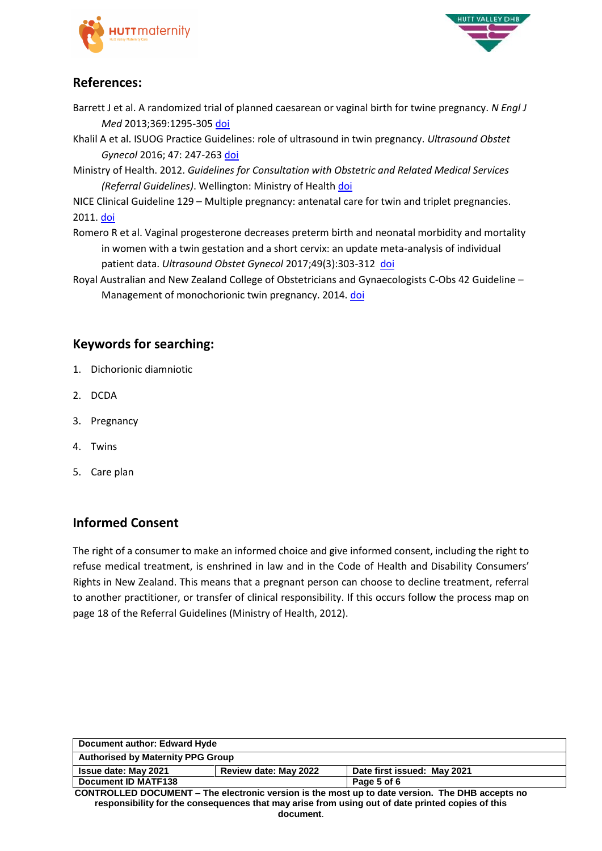



# **References:**

- Barrett J et al. A randomized trial of planned caesarean or vaginal birth for twine pregnancy. *N Engl J Med* 2013;369:1295-305 [doi](https://www.nejm.org/doi/pdf/10.1056/NEJMoa1214939)
- Khalil A et al. ISUOG Practice Guidelines: role of ultrasound in twin pregnancy. *Ultrasound Obstet Gynecol* 2016; 47: 247-263 [doi](https://www.google.com/url?sa=t&rct=j&q=&esrc=s&source=web&cd=1&cad=rja&uact=8&ved=2ahUKEwjNpL2Jv4_iAhVPU30KHSDVCXQQFjAAegQIAhAC&url=https%3A%2F%2Fwww.isuog.org%2Fuploads%2Fassets%2Fuploaded%2Fb4ce0129-a7e8-40a9-8543c4243fb7638f.pdf&usg=AOvVaw294oJk1iLKi9F_UQJni6xR)

Ministry of Health. 2012. *Guidelines for Consultation with Obstetric and Related Medical Services (Referral Guidelines)*. Wellington: Ministry of Health [doi](https://www.health.govt.nz/system/files/documents/publications/referral-glines-jan12.pdf)

NICE Clinical Guideline 129 – Multiple pregnancy: antenatal care for twin and triplet pregnancies. 2011[. doi](https://www.nice.org.uk/guidance/cg129/resources/multiple-pregnancy-antenatal-care-for-twin-and-triplet-pregnancies-pdf-35109458300869)

- Romero R et al. Vaginal progesterone decreases preterm birth and neonatal morbidity and mortality in women with a twin gestation and a short cervix: an update meta-analysis of individual patient data. *Ultrasound Obstet Gynecol* 2017;49(3):303-312 [doi](https://www.ncbi.nlm.nih.gov/pmc/articles/PMC5396280/)
- Royal Australian and New Zealand College of Obstetricians and Gynaecologists C-Obs 42 Guideline Management of monochorionic twin pregnancy. 2014. [doi](https://www.ranzcog.edu.au/RANZCOG_SITE/media/RANZCOG-MEDIA/Women%27s%20Health/Statement%20and%20guidelines/Clinical-Obstetrics/Management-of-Monochorionic-Twins-(C-Obs-42)-review-July-2017.pdf?ext=.pdf)

# **Keywords for searching:**

- 1. Dichorionic diamniotic
- 2. DCDA
- 3. Pregnancy
- 4. Twins
- 5. Care plan

# **Informed Consent**

The right of a consumer to make an informed choice and give informed consent, including the right to refuse medical treatment, is enshrined in law and in the Code of Health and Disability Consumers' Rights in New Zealand. This means that a pregnant person can choose to decline treatment, referral to another practitioner, or transfer of clinical responsibility. If this occurs follow the process map on page 18 of the Referral Guidelines (Ministry of Health, 2012).

| Document author: Edward Hyde                                                                     |  |  |
|--------------------------------------------------------------------------------------------------|--|--|
| <b>Authorised by Maternity PPG Group</b>                                                         |  |  |
| Review date: May 2022<br><b>Issue date: May 2021</b><br>Date first issued: May 2021              |  |  |
| Document ID MATF138<br>Page 5 of 6                                                               |  |  |
| CONTROLLED DOCUMENT - The electronic version is the most up to date version. The DHB accepts no  |  |  |
| responsibility for the consequences that may arise from using out of date printed copies of this |  |  |
| document.                                                                                        |  |  |